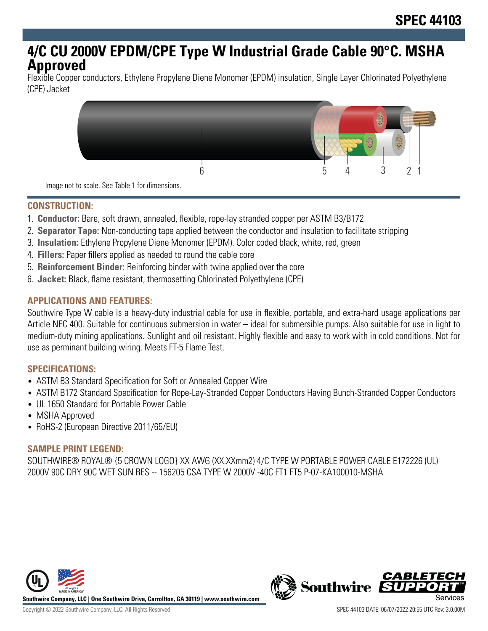# **4/C CU 2000V EPDM/CPE Type W Industrial Grade Cable 90°C. MSHA Approved**

Flexible Copper conductors, Ethylene Propylene Diene Monomer (EPDM) insulation, Single Layer Chlorinated Polyethylene (CPE) Jacket



Image not to scale. See Table 1 for dimensions.

# **CONSTRUCTION:**

- 1. **Conductor:** Bare, soft drawn, annealed, flexible, rope-lay stranded copper per ASTM B3/B172
- 2. **Separator Tape:** Non-conducting tape applied between the conductor and insulation to facilitate stripping
- 3. **Insulation:** Ethylene Propylene Diene Monomer (EPDM). Color coded black, white, red, green
- 4. **Fillers:** Paper fillers applied as needed to round the cable core
- 5. **Reinforcement Binder:** Reinforcing binder with twine applied over the core
- 6. **Jacket:** Black, flame resistant, thermosetting Chlorinated Polyethylene (CPE)

# **APPLICATIONS AND FEATURES:**

Southwire Type W cable is a heavy-duty industrial cable for use in flexible, portable, and extra-hard usage applications per Article NEC 400. Suitable for continuous submersion in water – ideal for submersible pumps. Also suitable for use in light to medium-duty mining applications. Sunlight and oil resistant. Highly flexible and easy to work with in cold conditions. Not for use as perminant building wiring. Meets FT-5 Flame Test.

#### **SPECIFICATIONS:**

- ASTM B3 Standard Specification for Soft or Annealed Copper Wire
- ASTM B172 Standard Specification for Rope-Lay-Stranded Copper Conductors Having Bunch-Stranded Copper Conductors
- UL 1650 Standard for Portable Power Cable
- MSHA Approved
- RoHS-2 (European Directive 2011/65/EU)

#### **SAMPLE PRINT LEGEND:**

SOUTHWIRE® ROYAL® {5 CROWN LOGO} XX AWG (XX.XXmm2) 4/C TYPE W PORTABLE POWER CABLE E172226 (UL) 2000V 90C DRY 90C WET SUN RES -- 156205 CSA TYPE W 2000V -40C FT1 FT5 P-07-KA100010-MSHA